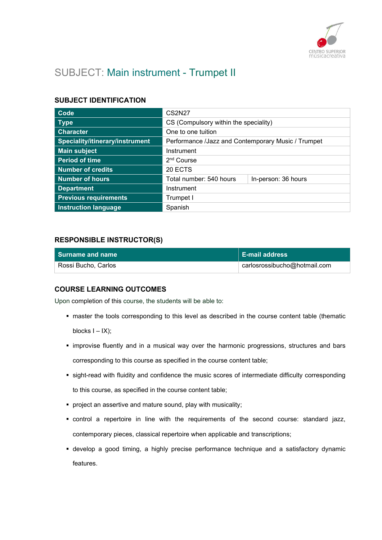

# SUBJECT: Main instrument - Trumpet II

# SUBJECT IDENTIFICATION

| Code                            | <b>CS2N27</b>                                      |                     |
|---------------------------------|----------------------------------------------------|---------------------|
| <b>Type</b>                     | CS (Compulsory within the speciality)              |                     |
| <b>Character</b>                | One to one tuition                                 |                     |
| Speciality/itinerary/instrument | Performance /Jazz and Contemporary Music / Trumpet |                     |
| <b>Main subject</b>             | Instrument                                         |                     |
| <b>Period of time</b>           | 2 <sup>nd</sup> Course                             |                     |
| <b>Number of credits</b>        | 20 ECTS                                            |                     |
| <b>Number of hours</b>          | Total number: 540 hours                            | In-person: 36 hours |
| <b>Department</b>               | Instrument                                         |                     |
| <b>Previous requirements</b>    | Trumpet I                                          |                     |
| <b>Instruction language</b>     | Spanish                                            |                     |

# RESPONSIBLE INSTRUCTOR(S)

| Surname and name    | ∣ E-mail address             |
|---------------------|------------------------------|
| Rossi Bucho, Carlos | carlosrossibucho@hotmail.com |

### COURSE LEARNING OUTCOMES

Upon completion of this course, the students will be able to:

- master the tools corresponding to this level as described in the course content table (thematic blocks  $I - IX$ );
- **.** improvise fluently and in a musical way over the harmonic progressions, structures and bars corresponding to this course as specified in the course content table;
- sight-read with fluidity and confidence the music scores of intermediate difficulty corresponding to this course, as specified in the course content table;
- **•** project an assertive and mature sound, play with musicality;
- control a repertoire in line with the requirements of the second course: standard jazz, contemporary pieces, classical repertoire when applicable and transcriptions;
- develop a good timing, a highly precise performance technique and a satisfactory dynamic features.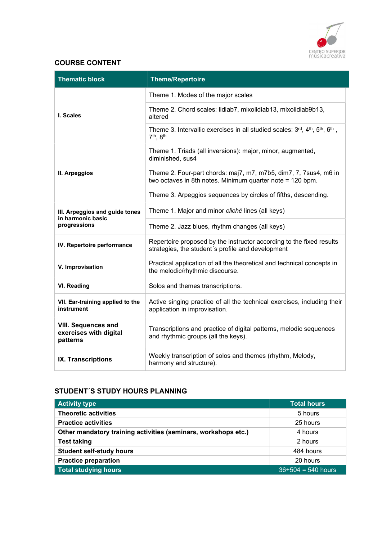

# COURSE CONTENT

| <b>Thematic block</b>                                               | <b>Theme/Repertoire</b>                                                                                                       |
|---------------------------------------------------------------------|-------------------------------------------------------------------------------------------------------------------------------|
|                                                                     | Theme 1. Modes of the major scales                                                                                            |
| I. Scales                                                           | Theme 2. Chord scales: lidiab7, mixolidiab13, mixolidiab9b13,<br>altered                                                      |
|                                                                     | Theme 3. Intervallic exercises in all studied scales: 3rd, 4th, 5th, 6th,<br>7th, 8th                                         |
|                                                                     | Theme 1. Triads (all inversions): major, minor, augmented,<br>diminished, sus4                                                |
| II. Arpeggios                                                       | Theme 2. Four-part chords: maj7, m7, m7b5, dim7, 7, 7sus4, m6 in<br>two octaves in 8th notes. Minimum quarter note = 120 bpm. |
|                                                                     | Theme 3. Arpeggios sequences by circles of fifths, descending.                                                                |
| III. Arpeggios and guide tones<br>in harmonic basic<br>progressions | Theme 1. Major and minor cliché lines (all keys)                                                                              |
|                                                                     | Theme 2. Jazz blues, rhythm changes (all keys)                                                                                |
| IV. Repertoire performance                                          | Repertoire proposed by the instructor according to the fixed results<br>strategies, the student's profile and development     |
| V. Improvisation                                                    | Practical application of all the theoretical and technical concepts in<br>the melodic/rhythmic discourse.                     |
| <b>VI. Reading</b>                                                  | Solos and themes transcriptions.                                                                                              |
| VII. Ear-training applied to the<br>instrument                      | Active singing practice of all the technical exercises, including their<br>application in improvisation.                      |
| <b>VIII. Sequences and</b><br>exercises with digital<br>patterns    | Transcriptions and practice of digital patterns, melodic sequences<br>and rhythmic groups (all the keys).                     |
| IX. Transcriptions                                                  | Weekly transcription of solos and themes (rhythm, Melody,<br>harmony and structure).                                          |

# STUDENT´S STUDY HOURS PLANNING

| <b>Activity type</b>                                           | <b>Total hours</b>   |
|----------------------------------------------------------------|----------------------|
| <b>Theoretic activities</b>                                    | 5 hours              |
| <b>Practice activities</b>                                     | 25 hours             |
| Other mandatory training activities (seminars, workshops etc.) | 4 hours              |
| <b>Test taking</b>                                             | 2 hours              |
| <b>Student self-study hours</b>                                | 484 hours            |
| <b>Practice preparation</b>                                    | 20 hours             |
| <b>Total studying hours</b>                                    | $36+504 = 540$ hours |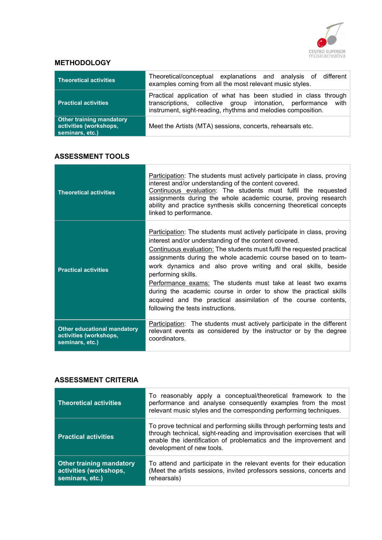

# **METHODOLOGY**

| Theoretical activities                                                       | Theoretical/conceptual explanations and analysis of different<br>examples coming from all the most relevant music styles.                                                                        |
|------------------------------------------------------------------------------|--------------------------------------------------------------------------------------------------------------------------------------------------------------------------------------------------|
| <b>Practical activities</b>                                                  | Practical application of what has been studied in class through<br>transcriptions, collective group intonation, performance with<br>instrument, sight-reading, rhythms and melodies composition. |
| <b>Other training mandatory</b><br>activities (workshops,<br>seminars, etc.) | Meet the Artists (MTA) sessions, concerts, rehearsals etc.                                                                                                                                       |

# ASSESSMENT TOOLS

| <b>Theoretical activities</b>                                                   | Participation: The students must actively participate in class, proving<br>interest and/or understanding of the content covered.<br>Continuous evaluation: The students must fulfil the requested<br>assignments during the whole academic course, proving research<br>ability and practice synthesis skills concerning theoretical concepts<br>linked to performance.                                                                                                                                                                                                                                          |
|---------------------------------------------------------------------------------|-----------------------------------------------------------------------------------------------------------------------------------------------------------------------------------------------------------------------------------------------------------------------------------------------------------------------------------------------------------------------------------------------------------------------------------------------------------------------------------------------------------------------------------------------------------------------------------------------------------------|
| <b>Practical activities</b>                                                     | Participation: The students must actively participate in class, proving<br>interest and/or understanding of the content covered.<br>Continuous evaluation: The students must fulfil the requested practical<br>assignments during the whole academic course based on to team-<br>work dynamics and also prove writing and oral skills, beside<br>performing skills.<br>Performance exams: The students must take at least two exams<br>during the academic course in order to show the practical skills<br>acquired and the practical assimilation of the course contents,<br>following the tests instructions. |
| <b>Other educational mandatory</b><br>activities (workshops,<br>seminars, etc.) | Participation: The students must actively participate in the different<br>relevant events as considered by the instructor or by the degree<br>coordinators.                                                                                                                                                                                                                                                                                                                                                                                                                                                     |

## ASSESSMENT CRITERIA

| <b>Theoretical activities</b>                                                | To reasonably apply a conceptual/theoretical framework to the<br>performance and analyse consequently examples from the most<br>relevant music styles and the corresponding performing techniques.                                                |
|------------------------------------------------------------------------------|---------------------------------------------------------------------------------------------------------------------------------------------------------------------------------------------------------------------------------------------------|
| <b>Practical activities</b>                                                  | To prove technical and performing skills through performing tests and<br>through technical, sight-reading and improvisation exercises that will<br>enable the identification of problematics and the improvement and<br>development of new tools. |
| <b>Other training mandatory</b><br>activities (workshops,<br>seminars, etc.) | To attend and participate in the relevant events for their education<br>(Meet the artists sessions, invited professors sessions, concerts and<br>rehearsals)                                                                                      |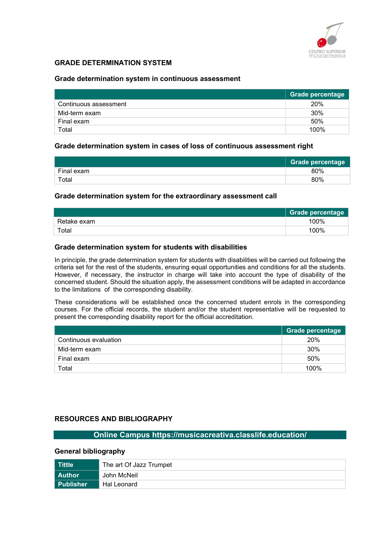

# GRADE DETERMINATION SYSTEM

#### Grade determination system in continuous assessment

|                       | Grade percentage |
|-----------------------|------------------|
| Continuous assessment | 20%              |
| Mid-term exam         | 30%              |
| Final exam            | 50%              |
| Total                 | 100%             |

#### Grade determination system in cases of loss of continuous assessment right

|            | Grade percentage |
|------------|------------------|
| Final exam | 80%              |
| Total      | 80%              |

#### Grade determination system for the extraordinary assessment call

|             | <b>Grade percentage</b> |
|-------------|-------------------------|
| Retake exam | 100%                    |
| Total       | 100%                    |

#### Grade determination system for students with disabilities

In principle, the grade determination system for students with disabilities will be carried out following the criteria set for the rest of the students, ensuring equal opportunities and conditions for all the students. However, if necessary, the instructor in charge will take into account the type of disability of the concerned student. Should the situation apply, the assessment conditions will be adapted in accordance to the limitations of the corresponding disability.

These considerations will be established once the concerned student enrols in the corresponding courses. For the official records, the student and/or the student representative will be requested to present the corresponding disability report for the official accreditation.

|                       | Grade percentage |
|-----------------------|------------------|
| Continuous evaluation | 20%              |
| Mid-term exam         | 30%              |
| Final exam            | 50%              |
| Total                 | 100%             |

### RESOURCES AND BIBLIOGRAPHY

# Online Campus https://musicacreativa.classlife.education/

#### General bibliography

| Tittle           | The art Of Jazz Trumpet |
|------------------|-------------------------|
| l Author         | John McNeil             |
| <b>Publisher</b> | Hal Leonard             |